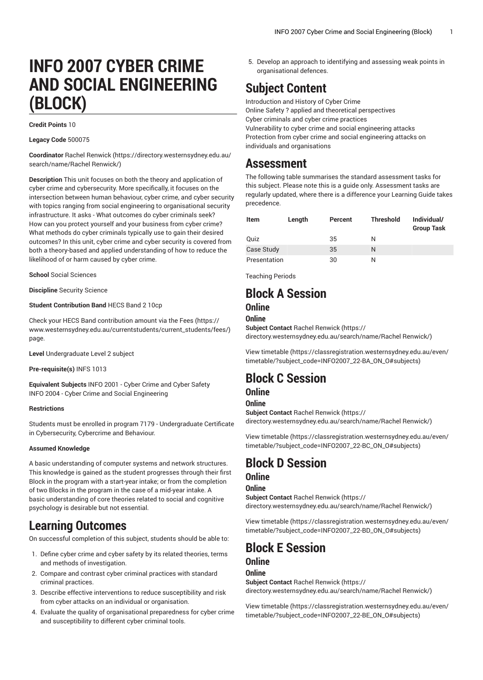# **INFO 2007 CYBER CRIME AND SOCIAL ENGINEERING (BLOCK)**

#### **Credit Points** 10

#### **Legacy Code** 500075

**Coordinator** [Rachel Renwick \(https://directory.westernsydney.edu.au/](https://directory.westernsydney.edu.au/search/name/Rachel Renwick/) [search/name/Rachel](https://directory.westernsydney.edu.au/search/name/Rachel Renwick/) Renwick/)

**Description** This unit focuses on both the theory and application of cyber crime and cybersecurity. More specifically, it focuses on the intersection between human behaviour, cyber crime, and cyber security with topics ranging from social engineering to organisational security infrastructure. It asks - What outcomes do cyber criminals seek? How can you protect yourself and your business from cyber crime? What methods do cyber criminals typically use to gain their desired outcomes? In this unit, cyber crime and cyber security is covered from both a theory-based and applied understanding of how to reduce the likelihood of or harm caused by cyber crime.

**School** Social Sciences

**Discipline** Security Science

#### **Student Contribution Band** HECS Band 2 10cp

Check your HECS Band contribution amount via the [Fees \(https://](https://www.westernsydney.edu.au/currentstudents/current_students/fees/) [www.westernsydney.edu.au/currentstudents/current\\_students/fees/\)](https://www.westernsydney.edu.au/currentstudents/current_students/fees/) page.

**Level** Undergraduate Level 2 subject

**Pre-requisite(s)** [INFS 1013](/search/?P=INFS%201013)

**Equivalent Subjects** INFO 2001 - Cyber Crime and Cyber Safety [INFO 2004](/search/?P=INFO%202004) - Cyber Crime and Social Engineering

#### **Restrictions**

Students must be enrolled in program 7179 - Undergraduate Certificate in Cybersecurity, Cybercrime and Behaviour.

#### **Assumed Knowledge**

A basic understanding of computer systems and network structures. This knowledge is gained as the student progresses through their first Block in the program with a start-year intake; or from the completion of two Blocks in the program in the case of a mid-year intake. A basic understanding of core theories related to social and cognitive psychology is desirable but not essential.

## **Learning Outcomes**

On successful completion of this subject, students should be able to:

- 1. Define cyber crime and cyber safety by its related theories, terms and methods of investigation.
- 2. Compare and contrast cyber criminal practices with standard criminal practices.
- 3. Describe effective interventions to reduce susceptibility and risk from cyber attacks on an individual or organisation.
- 4. Evaluate the quality of organisational preparedness for cyber crime and susceptibility to different cyber criminal tools.

5. Develop an approach to identifying and assessing weak points in organisational defences.

## **Subject Content**

Introduction and History of Cyber Crime Online Safety ? applied and theoretical perspectives Cyber criminals and cyber crime practices Vulnerability to cyber crime and social engineering attacks Protection from cyber crime and social engineering attacks on individuals and organisations

### **Assessment**

The following table summarises the standard assessment tasks for this subject. Please note this is a guide only. Assessment tasks are regularly updated, where there is a difference your Learning Guide takes precedence.

| Item         | Length | Percent | <b>Threshold</b> | Individual/<br><b>Group Task</b> |
|--------------|--------|---------|------------------|----------------------------------|
| <b>Quiz</b>  |        | 35      | N                |                                  |
| Case Study   |        | 35      | N                |                                  |
| Presentation |        | 30      | N                |                                  |

Teaching Periods

# **Block A Session**

### **Online**

### **Online**

**Subject Contact** [Rachel Renwick \(https://](https://directory.westernsydney.edu.au/search/name/Rachel Renwick/) [directory.westernsydney.edu.au/search/name/Rachel](https://directory.westernsydney.edu.au/search/name/Rachel Renwick/) Renwick/)

[View timetable](https://classregistration.westernsydney.edu.au/even/timetable/?subject_code=INFO2007_22-BA_ON_O#subjects) [\(https://classregistration.westernsydney.edu.au/even/](https://classregistration.westernsydney.edu.au/even/timetable/?subject_code=INFO2007_22-BA_ON_O#subjects) [timetable/?subject\\_code=INFO2007\\_22-BA\\_ON\\_O#subjects](https://classregistration.westernsydney.edu.au/even/timetable/?subject_code=INFO2007_22-BA_ON_O#subjects))

## **Block C Session**

### **Online**

### **Online**

**Subject Contact** [Rachel Renwick \(https://](https://directory.westernsydney.edu.au/search/name/Rachel Renwick/) [directory.westernsydney.edu.au/search/name/Rachel](https://directory.westernsydney.edu.au/search/name/Rachel Renwick/) Renwick/)

[View timetable](https://classregistration.westernsydney.edu.au/even/timetable/?subject_code=INFO2007_22-BC_ON_O#subjects) [\(https://classregistration.westernsydney.edu.au/even/](https://classregistration.westernsydney.edu.au/even/timetable/?subject_code=INFO2007_22-BC_ON_O#subjects) [timetable/?subject\\_code=INFO2007\\_22-BC\\_ON\\_O#subjects](https://classregistration.westernsydney.edu.au/even/timetable/?subject_code=INFO2007_22-BC_ON_O#subjects))

## **Block D Session**

### **Online**

### **Online**

**Subject Contact** [Rachel Renwick \(https://](https://directory.westernsydney.edu.au/search/name/Rachel Renwick/) [directory.westernsydney.edu.au/search/name/Rachel](https://directory.westernsydney.edu.au/search/name/Rachel Renwick/) Renwick/)

[View timetable](https://classregistration.westernsydney.edu.au/even/timetable/?subject_code=INFO2007_22-BD_ON_O#subjects) [\(https://classregistration.westernsydney.edu.au/even/](https://classregistration.westernsydney.edu.au/even/timetable/?subject_code=INFO2007_22-BD_ON_O#subjects) [timetable/?subject\\_code=INFO2007\\_22-BD\\_ON\\_O#subjects](https://classregistration.westernsydney.edu.au/even/timetable/?subject_code=INFO2007_22-BD_ON_O#subjects))

# **Block E Session**

### **Online**

### **Online**

**Subject Contact** [Rachel Renwick \(https://](https://directory.westernsydney.edu.au/search/name/Rachel Renwick/) [directory.westernsydney.edu.au/search/name/Rachel](https://directory.westernsydney.edu.au/search/name/Rachel Renwick/) Renwick/)

[View timetable](https://classregistration.westernsydney.edu.au/even/timetable/?subject_code=INFO2007_22-BE_ON_O#subjects) [\(https://classregistration.westernsydney.edu.au/even/](https://classregistration.westernsydney.edu.au/even/timetable/?subject_code=INFO2007_22-BE_ON_O#subjects) [timetable/?subject\\_code=INFO2007\\_22-BE\\_ON\\_O#subjects\)](https://classregistration.westernsydney.edu.au/even/timetable/?subject_code=INFO2007_22-BE_ON_O#subjects)